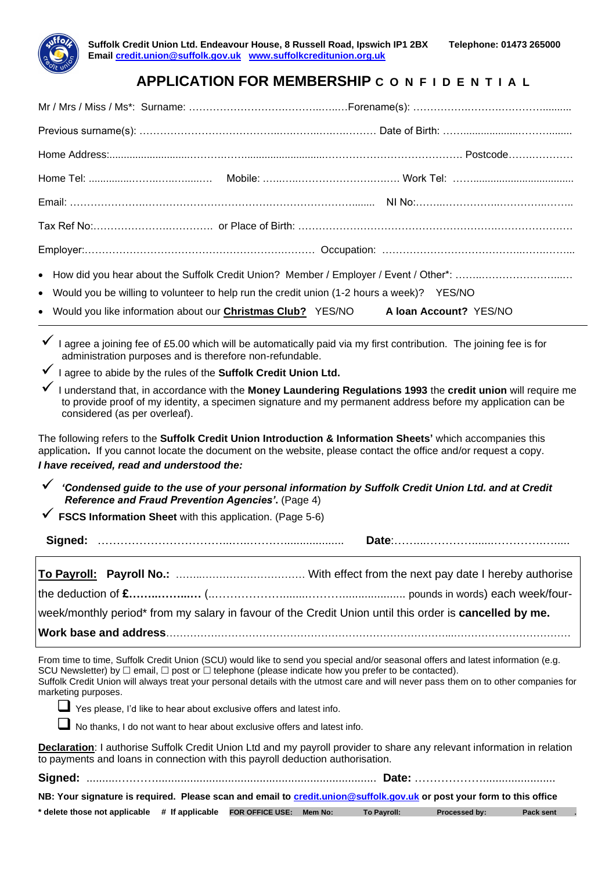

## **APPLICATION FOR MEMBERSHIP C O N F I D E N T I A L**

| • Would you be willing to volunteer to help run the credit union (1-2 hours a week)? YES/NO |                                                                                                                     |  |  |  |  |
|---------------------------------------------------------------------------------------------|---------------------------------------------------------------------------------------------------------------------|--|--|--|--|
|                                                                                             | • Would you like information about our Christmas Club? YES/NO A loan Account? YES/NO                                |  |  |  |  |
|                                                                                             | √ I agree a joining fee of £5.00 which will be automatically paid via my first contribution. The joining fee is for |  |  |  |  |

administration purposes and is therefore non-refundable.

I agree to abide by the rules of the **Suffolk Credit Union Ltd.** 

✓ I understand that, in accordance with the **Money Laundering Regulations 1993** the **credit union** will require me to provide proof of my identity, a specimen signature and my permanent address before my application can be considered (as per overleaf).

The following refers to the **Suffolk Credit Union Introduction & Information Sheets'** which accompanies this application**.** If you cannot locate the document on the website, please contact the office and/or request a copy. *I have received, read and understood the:*

✓ *'Condensed guide to the use of your personal information by Suffolk Credit Union Ltd. and at Credit Reference and Fraud Prevention Agencies'***.** (Page 4)

✓ **FSCS Information Sheet** with this application. (Page 5-6)

**Signed:** ……………………………...…..………................... **Date**:……...………….......………….….....

|  | week/monthly period* from my salary in favour of the Credit Union until this order is cancelled by me. |
|--|--------------------------------------------------------------------------------------------------------|

**Work base and address**………………………………………………………………………...…………………………….

From time to time, Suffolk Credit Union (SCU) would like to send you special and/or seasonal offers and latest information (e.g. SCU Newsletter) by  $\Box$  email,  $\Box$  post or  $\Box$  telephone (please indicate how you prefer to be contacted). Suffolk Credit Union will always treat your personal details with the utmost care and will never pass them on to other companies for marketing purposes.

❑ Yes please, I'd like to hear about exclusive offers and latest info.

No thanks, I do not want to hear about exclusive offers and latest info.

**Declaration**: I authorise Suffolk Credit Union Ltd and my payroll provider to share any relevant information in relation to payments and loans in connection with this payroll deduction authorisation.

| NB: Your signature is required. Please scan and email to credit.union@suffolk.gov.uk or post your form to this office |  |             |                      |           |  |
|-----------------------------------------------------------------------------------------------------------------------|--|-------------|----------------------|-----------|--|
| * delete those not applicable # If applicable  FOR OFFICE USE: Mem No:                                                |  | To Payroll: | <b>Processed by:</b> | Pack sent |  |